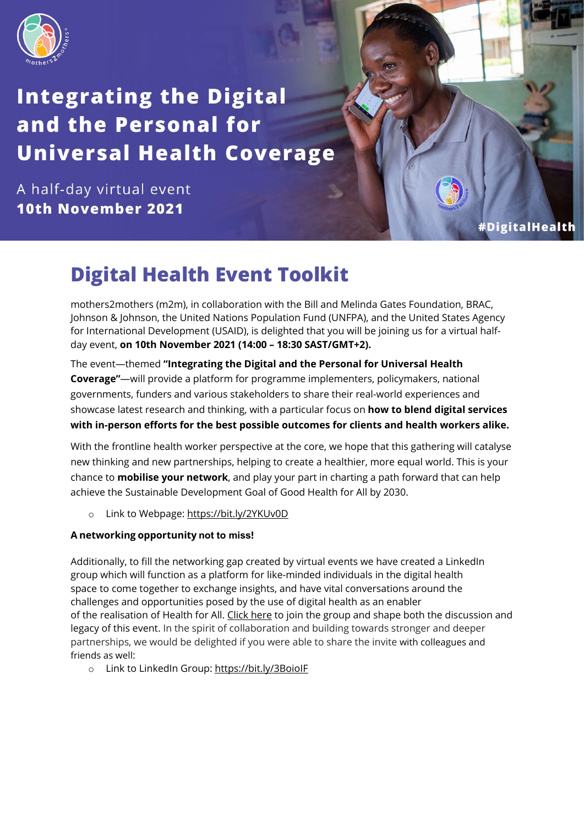

# **Integrating the Digital** and the Personal for **Universal Health Coverage**

A half-day virtual event 10th November 2021

#DigitalHealth

## **Digital Health Event Toolkit**

[mothers2mothers](https://m2m.org/) (m2m), in collaboration with the Bill and Melinda Gates Foundation, BRAC, Johnson & Johnson, the United Nations Population Fund (UNFPA), and the United States Agency for International Development (USAID), is delighted that you will be joining us for a virtual halfday event, **on 10th November 2021 (14:00 – 18:30 SAST/GMT+2).**

The event—themed **"Integrating the Digital and the Personal for Universal Health Coverage"**—will provide a platform for programme implementers, policymakers, national governments, funders and various stakeholders to share their real-world experiences and showcase latest research and thinking, with a particular focus on **how to blend digital services with in-person efforts for the best possible outcomes for clients and health workers alike.**

With the frontline health worker perspective at the core, we hope that this gathering will catalyse new thinking and new partnerships, helping to create a healthier, more equal world. This is your chance to **mobilise your network**, and play your part in charting a path forward that can help achieve the Sustainable Development Goal of Good Health for All by 2030.

o Link to Webpage:<https://bit.ly/2YKUv0D>

## **A networking opportunity not to miss!**

Additionally, to fill the networking gap created by virtual events we have created a [LinkedIn](https://t.e2ma.net/click/b6ra9k/njue0wk/3rnvgpb)  [group](https://t.e2ma.net/click/b6ra9k/njue0wk/3rnvgpb) which will function as a platform for like-minded individuals in the digital health space to come together to exchange insights, and have vital conversations around the challenges and opportunities posed by the use of digital health as an enabler of the realisation of Health for All. [Click here](https://bit.ly/3BoioIF) to join the group and shape both the discussion and legacy of this event. In the spirit of collaboration and building towards stronger and deeper partnerships, we would be delighted if you were able to share the invite with colleagues and friends as well:

o Link to LinkedIn Group: <https://bit.ly/3BoioIF>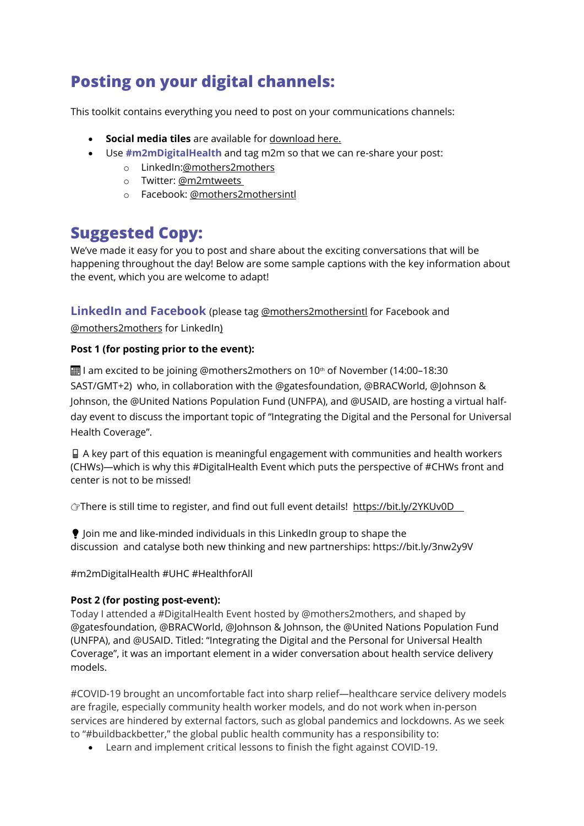## **Posting on your digital channels:**

This toolkit contains everything you need to post on your communications channels:

- **Social media tiles** are available for [download here.](https://www.dropbox.com/sh/9wx1zxck1h9p5g5/AAA6EeJ45TLYARJRTUmKp6Y1a?dl=0)
- Use **#m2mDigitalHealth** and tag m2m so that we can re-share your post:
	- o LinkedIn[:@mothers2mothers](https://www.linkedin.com/company/mothers2mothers)
	- o Twitter: [@m2mtweets](https://twitter.com/m2mtweets?lang=en)
	- o Facebook: [@mothers2mothersintl](https://www.facebook.com/mothers2mothersintl/)

## **Suggested Copy:**

We've made it easy for you to post and share about the exciting conversations that will be happening throughout the day! Below are some sample captions with the key information about the event, which you are welcome to adapt!

**LinkedIn and Facebook** (please tag [@mothers2mothersintl](https://www.facebook.com/mothers2mothersintl/) for Facebook and

[@mothers2mothers](https://www.linkedin.com/company/mothers2mothers) for LinkedIn)

### **Post 1 (for posting prior to the event):**

 $\blacksquare$  I am excited to be joining @mothers2mothers on 10<sup>th</sup> of November (14:00-18:30 SAST/GMT+2) who, in collaboration with the @gatesfoundation, @BRACWorld, @Johnson & Johnson, the @United Nations Population Fund (UNFPA), and @USAID, are hosting a virtual halfday event to discuss the important topic of "Integrating the Digital and the Personal for Universal Health Coverage".

 A key part of this equation is meaningful engagement with communities and health workers (CHWs)—which is why this #DigitalHealth Event which puts the perspective of #CHWs front and center is not to be missed!

GThere is still time to register, and find out full event details! [https://bit.ly/2YKUv0D](https://bit.ly/2YKUv0D%C2%A0%C2%A0%C2%A0%C2%A0)

 $\bullet$  loin me and like-minded individuals in this LinkedIn group to shape the discussion and catalyse both new thinking and new partnerships: https://bit.ly/3nw2y9V

#m2mDigitalHealth #UHC #HealthforAll

### **Post 2 (for posting post-event):**

Today I attended a #DigitalHealth Event hosted by @mothers2mothers, and shaped by @gatesfoundation, @BRACWorld, @Johnson & Johnson, the @United Nations Population Fund (UNFPA), and @USAID. Titled: "Integrating the Digital and the Personal for Universal Health Coverage", it was an important element in a wider conversation about health service delivery models.

#COVID-19 brought an uncomfortable fact into sharp relief—healthcare service delivery models are fragile, especially community health worker models, and do not work when in-person services are hindered by external factors, such as global pandemics and lockdowns. As we seek to "#buildbackbetter," the global public health community has a responsibility to:

• Learn and implement critical lessons to finish the fight against COVID-19.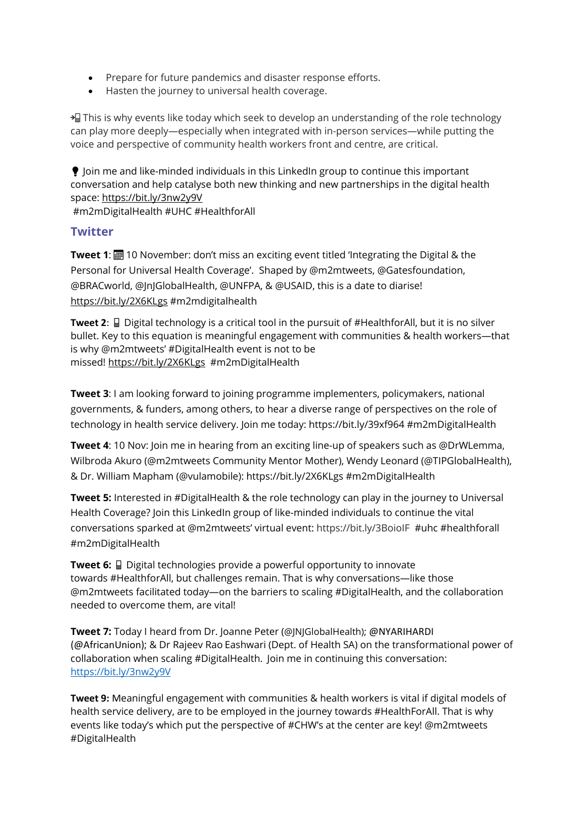- Prepare for future pandemics and disaster response efforts.
- Hasten the journey to universal health coverage.

 $\frac{1}{2}$  This is why events like today which seek to develop an understanding of the role technology can play more deeply—especially when integrated with in-person services—while putting the voice and perspective of community health workers front and centre, are critical.

 Join me and like-minded individuals in this LinkedIn group to continue this important conversation and help catalyse both new thinking and new partnerships in the digital health space: <https://bit.ly/3nw2y9V>

#m2mDigitalHealth #UHC #HealthforAll

## **Twitter**

**Tweet 1: III** 10 November: don't miss an exciting event titled 'Integrating the Digital & the Personal for Universal Health Coverage'. Shaped by @m2mtweets, @Gatesfoundation, @BRACworld, @JnJGlobalHealth, @UNFPA, & @USAID, this is a date to diarise! <https://bit.ly/2X6KLgs> #m2mdigitalhealth

**Tweet 2:**  $\Box$  Digital technology is a critical tool in the pursuit of #HealthforAll, but it is no silver bullet. Key to this equation is meaningful engagement with communities & health workers—that is why @m2mtweets' #DigitalHealth event is not to be missed! <https://bit.ly/2X6KLgs> #m2mDigitalHealth

**Tweet 3**: I am looking forward to joining programme implementers, policymakers, national governments, & funders, among others, to hear a diverse range of perspectives on the role of technology in health service delivery. Join me today: <https://bit.ly/39xf964> #m2mDigitalHealth

**Tweet 4**: 10 Nov: Join me in hearing from an exciting line-up of speakers such as @DrWLemma, Wilbroda Akuro (@m2mtweets Community Mentor Mother), Wendy Leonard (@TIPGlobalHealth), & Dr. William Mapham (@vulamobile): <https://bit.ly/2X6KLgs> #m2mDigitalHealth

**Tweet 5:** Interested in #DigitalHealth & the role technology can play in the journey to Universal Health Coverage? Join this LinkedIn group of like-minded individuals to continue the vital conversations sparked at @m2mtweets' virtual event:<https://bit.ly/3BoioIF>#uhc #healthforall #m2mDigitalHealth

**Tweet 6:**  $\Box$  Digital technologies provide a powerful opportunity to innovate towards #HealthforAll, but challenges remain. That is why conversations—like those @m2mtweets facilitated today—on the barriers to scaling #DigitalHealth, and the collaboration needed to overcome them, are vital!

**Tweet 7:** Today I heard from Dr. Joanne Peter (@JNJGlobalHealth); @NYARIHARDI (@AfricanUnion); & Dr Rajeev Rao Eashwari (Dept. of Health SA) on the transformational power of collaboration when scaling #DigitalHealth. Join me in continuing this conversation: <https://bit.ly/3nw2y9V>

**Tweet 9:** Meaningful engagement with communities & health workers is vital if digital models of health service delivery, are to be employed in the journey towards #HealthForAll. That is why events like today's which put the perspective of #CHW's at the center are key! @m2mtweets #DigitalHealth